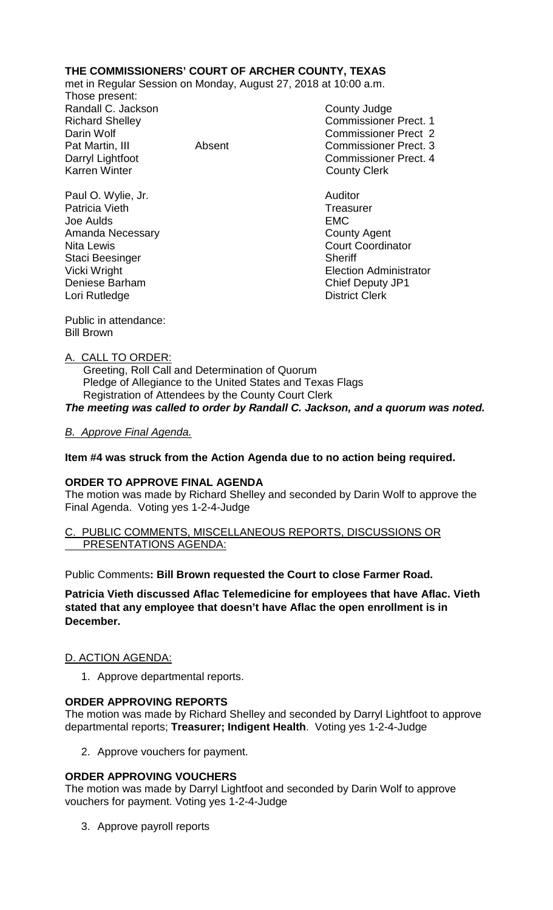# **THE COMMISSIONERS' COURT OF ARCHER COUNTY, TEXAS**

met in Regular Session on Monday, August 27, 2018 at 10:00 a.m.

Those present: Randall C. Jackson County Judge Karren Winter **County Clerk** 

Paul O. Wylie, Jr. **Auditor Paul O. Wylie, Jr. Auditor** Patricia Vieth Treasurer Joe Aulds EMC Amanda Necessary **County Agent** County Agent Nita Lewis **Court Coordinator** Court Coordinator Staci Beesinger Sheriff Deniese Barham Chief Deputy JP1<br>
Lori Rutledge Chief Deputy JP1<br>
Chief Deputy JP1 Lori Rutledge

Richard Shelley **Commissioner Prect. 1** Darin Wolf Commissioner Prect 2 Pat Martin, III Absent Commissioner Prect. 3 Darryl Lightfoot Commissioner Prect. 4

Vicki Wright **Election Administrator** 

Public in attendance: Bill Brown

### A. CALL TO ORDER:

 Greeting, Roll Call and Determination of Quorum Pledge of Allegiance to the United States and Texas Flags Registration of Attendees by the County Court Clerk *The meeting was called to order by Randall C. Jackson, and a quorum was noted.*

### *B. Approve Final Agenda.*

### **Item #4 was struck from the Action Agenda due to no action being required.**

#### **ORDER TO APPROVE FINAL AGENDA**

The motion was made by Richard Shelley and seconded by Darin Wolf to approve the Final Agenda. Voting yes 1-2-4-Judge

### PUBLIC COMMENTS, MISCELLANEOUS REPORTS, DISCUSSIONS OR PRESENTATIONS AGENDA:

Public Comments**: Bill Brown requested the Court to close Farmer Road.**

**Patricia Vieth discussed Aflac Telemedicine for employees that have Aflac. Vieth stated that any employee that doesn't have Aflac the open enrollment is in December.**

#### D. ACTION AGENDA:

1. Approve departmental reports.

## **ORDER APPROVING REPORTS**

The motion was made by Richard Shelley and seconded by Darryl Lightfoot to approve departmental reports; **Treasurer; Indigent Health**. Voting yes 1-2-4-Judge

2. Approve vouchers for payment.

## **ORDER APPROVING VOUCHERS**

The motion was made by Darryl Lightfoot and seconded by Darin Wolf to approve vouchers for payment. Voting yes 1-2-4-Judge

3. Approve payroll reports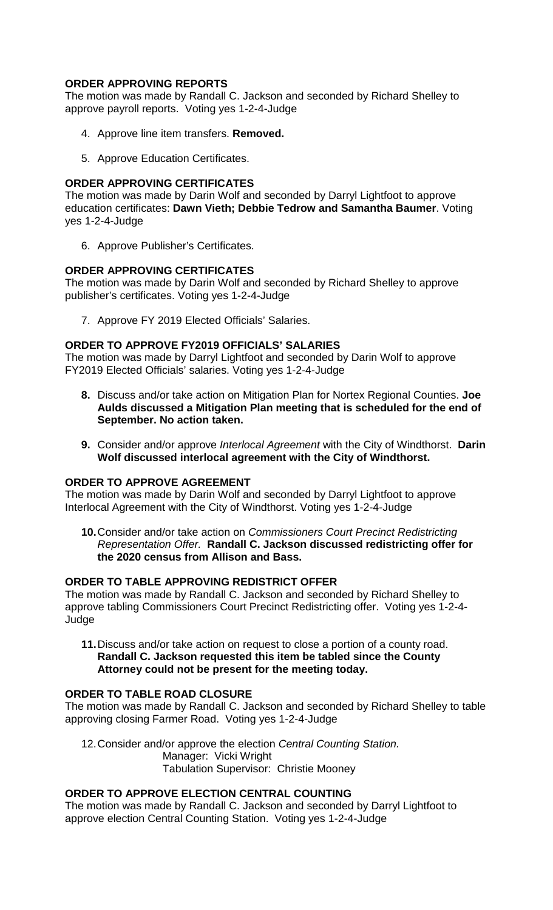## **ORDER APPROVING REPORTS**

The motion was made by Randall C. Jackson and seconded by Richard Shelley to approve payroll reports. Voting yes 1-2-4-Judge

- 4. Approve line item transfers. **Removed.**
- 5. Approve Education Certificates.

### **ORDER APPROVING CERTIFICATES**

The motion was made by Darin Wolf and seconded by Darryl Lightfoot to approve education certificates: **Dawn Vieth; Debbie Tedrow and Samantha Baumer**. Voting yes 1-2-4-Judge

6. Approve Publisher's Certificates.

### **ORDER APPROVING CERTIFICATES**

The motion was made by Darin Wolf and seconded by Richard Shelley to approve publisher's certificates. Voting yes 1-2-4-Judge

7. Approve FY 2019 Elected Officials' Salaries.

### **ORDER TO APPROVE FY2019 OFFICIALS' SALARIES**

The motion was made by Darryl Lightfoot and seconded by Darin Wolf to approve FY2019 Elected Officials' salaries. Voting yes 1-2-4-Judge

- **8.** Discuss and/or take action on Mitigation Plan for Nortex Regional Counties. **Joe Aulds discussed a Mitigation Plan meeting that is scheduled for the end of September. No action taken.**
- **9.** Consider and/or approve *Interlocal Agreement* with the City of Windthorst. **Darin Wolf discussed interlocal agreement with the City of Windthorst.**

#### **ORDER TO APPROVE AGREEMENT**

The motion was made by Darin Wolf and seconded by Darryl Lightfoot to approve Interlocal Agreement with the City of Windthorst. Voting yes 1-2-4-Judge

**10.**Consider and/or take action on *Commissioners Court Precinct Redistricting Representation Offer.* **Randall C. Jackson discussed redistricting offer for the 2020 census from Allison and Bass.**

### **ORDER TO TABLE APPROVING REDISTRICT OFFER**

The motion was made by Randall C. Jackson and seconded by Richard Shelley to approve tabling Commissioners Court Precinct Redistricting offer. Voting yes 1-2-4- Judge

**11.**Discuss and/or take action on request to close a portion of a county road. **Randall C. Jackson requested this item be tabled since the County Attorney could not be present for the meeting today.** 

## **ORDER TO TABLE ROAD CLOSURE**

The motion was made by Randall C. Jackson and seconded by Richard Shelley to table approving closing Farmer Road. Voting yes 1-2-4-Judge

12.Consider and/or approve the election *Central Counting Station.* Manager: Vicki Wright Tabulation Supervisor: Christie Mooney

## **ORDER TO APPROVE ELECTION CENTRAL COUNTING**

The motion was made by Randall C. Jackson and seconded by Darryl Lightfoot to approve election Central Counting Station. Voting yes 1-2-4-Judge